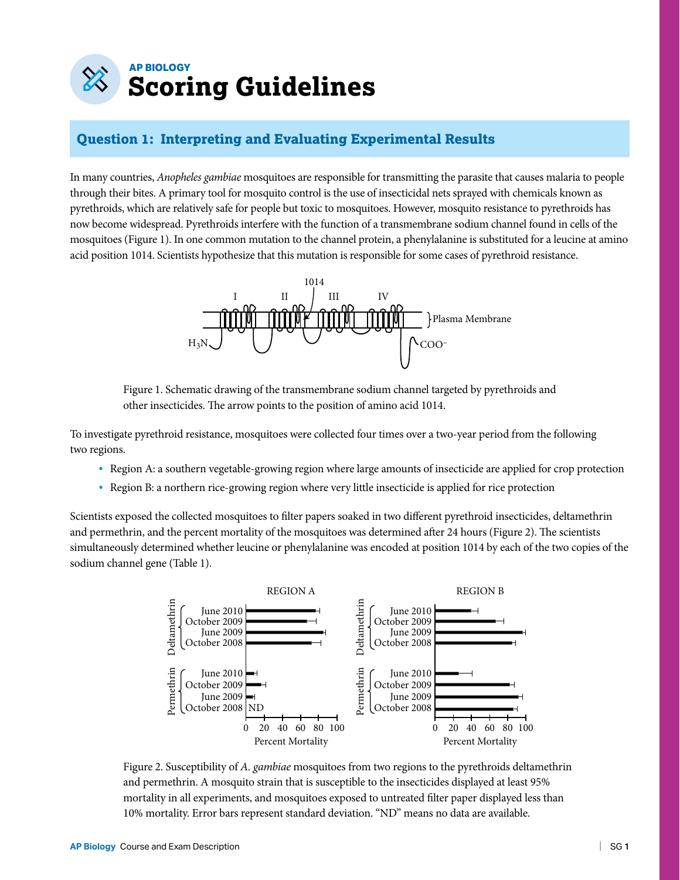# **AP BIOLOGY Scoring Guidelines**

### **Question 1: Interpreting and Evaluating Experimental Results**

In many countries, *Anopheles gambiae* mosquitoes are responsible for transmitting the parasite that causes malaria to people through their bites. A primary tool for mosquito control is the use of insecticidal nets sprayed with chemicals known as pyrethroids, which are relatively safe for people but toxic to mosquitoes. However, mosquito resistance to pyrethroids has now become widespread. Pyrethroids interfere with the function of a transmembrane sodium channel found in cells of the mosquitoes (Figure 1). In one common mutation to the channel protein, a phenylalanine is substituted for a leucine at amino acid position 1014. Scientists hypothesize that this mutation is responsible for some cases of pyrethroid resistance.



Figure 1. Schematic drawing of the transmembrane sodium channel targeted by pyrethroids and other insecticides. The arrow points to the position of amino acid 1014.

To investigate pyrethroid resistance, mosquitoes were collected four times over a two-year period from the following two regions.

- Region A: a southern vegetable-growing region where large amounts of insecticide are applied for crop protection
- Region B: a northern rice-growing region where very little insecticide is applied for rice protection

Scientists exposed the collected mosquitoes to filter papers soaked in two different pyrethroid insecticides, deltamethrin and permethrin, and the percent mortality of the mosquitoes was determined after 24 hours (Figure 2). The scientists simultaneously determined whether leucine or phenylalanine was encoded at position 1014 by each of the two copies of the sodium channel gene (Table 1).



Figure 2. Susceptibility of *A. gambiae* mosquitoes from two regions to the pyrethroids deltamethrin and permethrin. A mosquito strain that is susceptible to the insecticides displayed at least 95% mortality in all experiments, and mosquitoes exposed to untreated filter paper displayed less than 10% mortality. Error bars represent standard deviation. "ND" means no data are available.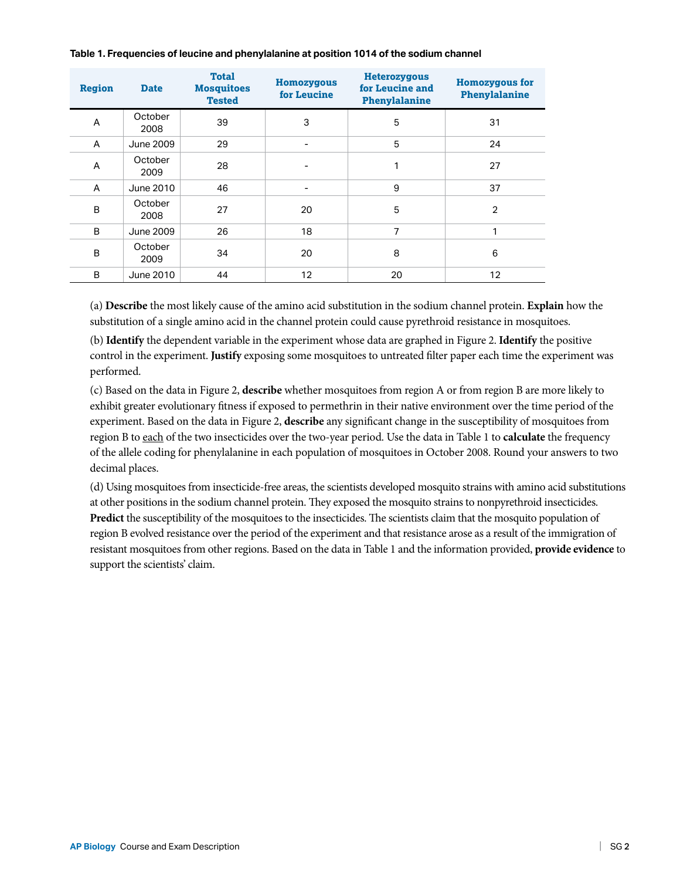| <b>Region</b> | <b>Date</b>     | <b>Total</b><br><b>Mosquitoes</b><br><b>Tested</b> | <b>Homozygous</b><br>for Leucine | <b>Heterozygous</b><br>for Leucine and<br>Phenylalanine | <b>Homozygous for</b><br>Phenylalanine |
|---------------|-----------------|----------------------------------------------------|----------------------------------|---------------------------------------------------------|----------------------------------------|
| A             | October<br>2008 | 39                                                 | 3                                | 5                                                       | 31                                     |
| A             | June 2009       | 29                                                 | $\overline{\phantom{a}}$         | 5                                                       | 24                                     |
| A             | October<br>2009 | 28                                                 |                                  | 1                                                       | 27                                     |
| A             | June 2010       | 46                                                 | $\overline{\phantom{a}}$         | 9                                                       | 37                                     |
| B             | October<br>2008 | 27                                                 | 20                               | 5                                                       | 2                                      |
| B             | June 2009       | 26                                                 | 18                               | 7                                                       |                                        |
| B             | October<br>2009 | 34                                                 | 20                               | 8                                                       | 6                                      |
| B             | June 2010       | 44                                                 | 12                               | 20                                                      | 12                                     |

#### **Table 1. Frequencies of leucine and phenylalanine at position 1014 of the sodium channel**

(a) **Describe** the most likely cause of the amino acid substitution in the sodium channel protein. **Explain** how the substitution of a single amino acid in the channel protein could cause pyrethroid resistance in mosquitoes.

(b) **Identify** the dependent variable in the experiment whose data are graphed in Figure 2. **Identify** the positive control in the experiment. **Justify** exposing some mosquitoes to untreated filter paper each time the experiment was performed.

(c) Based on the data in Figure 2, **describe** whether mosquitoes from region A or from region B are more likely to exhibit greater evolutionary fitness if exposed to permethrin in their native environment over the time period of the experiment. Based on the data in Figure 2, **describe** any significant change in the susceptibility of mosquitoes from region B to each of the two insecticides over the two-year period. Use the data in Table 1 to **calculate** the frequency of the allele coding for phenylalanine in each population of mosquitoes in October 2008. Round your answers to two decimal places.

(d) Using mosquitoes from insecticide-free areas, the scientists developed mosquito strains with amino acid substitutions at other positions in the sodium channel protein. They exposed the mosquito strains to nonpyrethroid insecticides. **Predict** the susceptibility of the mosquitoes to the insecticides. The scientists claim that the mosquito population of region B evolved resistance over the period of the experiment and that resistance arose as a result of the immigration of resistant mosquitoes from other regions. Based on the data in Table 1 and the information provided, **provide evidence** to support the scientists' claim.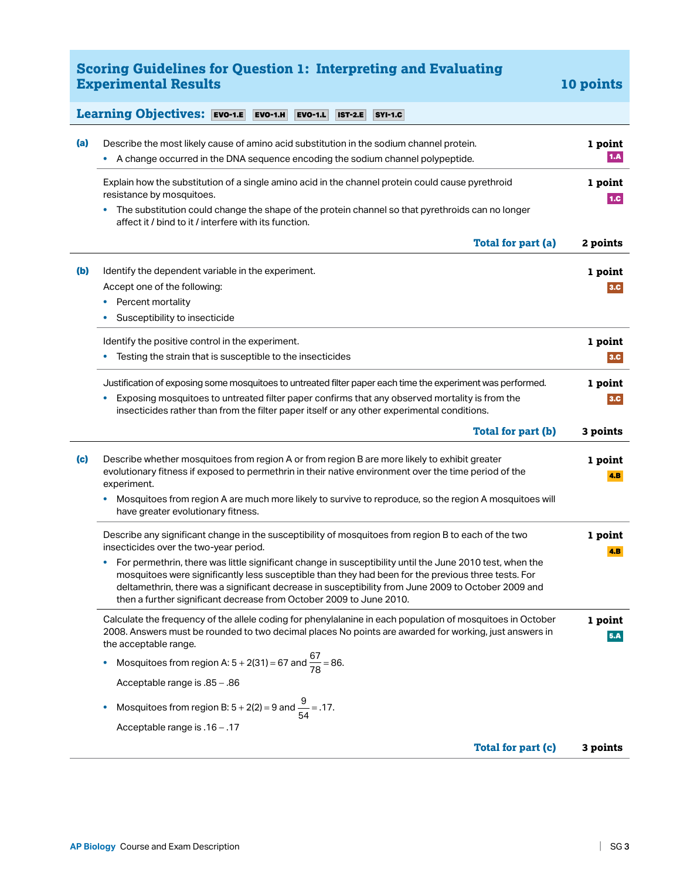#### **Scoring Guidelines for Question 1: Interpreting and Evaluating Experimental Results 10 points** 10 points

#### **Learning Objectives:** EVO-1.EEVO-1.HEVO-1.LIST-2.ESYI-1.C

| A change occurred in the DNA sequence encoding the sodium channel polypeptide.<br>٠                                                                                                                                                                                                                                                                                                                |                 |
|----------------------------------------------------------------------------------------------------------------------------------------------------------------------------------------------------------------------------------------------------------------------------------------------------------------------------------------------------------------------------------------------------|-----------------|
| Explain how the substitution of a single amino acid in the channel protein could cause pyrethroid<br>resistance by mosquitoes.                                                                                                                                                                                                                                                                     | 1 point<br>1.C. |
| The substitution could change the shape of the protein channel so that pyrethroids can no longer<br>٠<br>affect it / bind to it / interfere with its function.                                                                                                                                                                                                                                     |                 |
| Total for part (a)                                                                                                                                                                                                                                                                                                                                                                                 | 2 points        |
| (b)<br>Identify the dependent variable in the experiment.                                                                                                                                                                                                                                                                                                                                          | 1 point         |
| Accept one of the following:                                                                                                                                                                                                                                                                                                                                                                       | 3.C             |
| Percent mortality                                                                                                                                                                                                                                                                                                                                                                                  |                 |
| Susceptibility to insecticide                                                                                                                                                                                                                                                                                                                                                                      |                 |
| Identify the positive control in the experiment.                                                                                                                                                                                                                                                                                                                                                   | 1 point         |
| Testing the strain that is susceptible to the insecticides                                                                                                                                                                                                                                                                                                                                         | 3.C             |
| Justification of exposing some mosquitoes to untreated filter paper each time the experiment was performed.<br>Exposing mosquitoes to untreated filter paper confirms that any observed mortality is from the                                                                                                                                                                                      | 1 point<br>3.C  |
| insecticides rather than from the filter paper itself or any other experimental conditions.                                                                                                                                                                                                                                                                                                        |                 |
| Total for part (b)                                                                                                                                                                                                                                                                                                                                                                                 | 3 points        |
| (c)<br>Describe whether mosquitoes from region A or from region B are more likely to exhibit greater<br>evolutionary fitness if exposed to permethrin in their native environment over the time period of the<br>experiment.                                                                                                                                                                       | 1 point<br>4.B  |
| Mosquitoes from region A are much more likely to survive to reproduce, so the region A mosquitoes will<br>have greater evolutionary fitness.                                                                                                                                                                                                                                                       |                 |
| Describe any significant change in the susceptibility of mosquitoes from region B to each of the two<br>insecticides over the two-year period.                                                                                                                                                                                                                                                     | 1 point<br>4.B  |
| For permethrin, there was little significant change in susceptibility until the June 2010 test, when the<br>٠<br>mosquitoes were significantly less susceptible than they had been for the previous three tests. For<br>deltamethrin, there was a significant decrease in susceptibility from June 2009 to October 2009 and<br>then a further significant decrease from October 2009 to June 2010. |                 |
| Calculate the frequency of the allele coding for phenylalanine in each population of mosquitoes in October<br>2008. Answers must be rounded to two decimal places No points are awarded for working, just answers in<br>the acceptable range.                                                                                                                                                      | 1 point<br>5.A  |
| Mosquitoes from region A: $5 + 2(31) = 67$ and $\frac{67}{78} = 86$ .<br>٠                                                                                                                                                                                                                                                                                                                         |                 |
| Acceptable range is .85 - .86                                                                                                                                                                                                                                                                                                                                                                      |                 |
| Mosquitoes from region B: $5 + 2(2) = 9$ and $\frac{9}{54} = .17$ .<br>٠                                                                                                                                                                                                                                                                                                                           |                 |
| Acceptable range is .16 - .17                                                                                                                                                                                                                                                                                                                                                                      |                 |
| Total for part (c)                                                                                                                                                                                                                                                                                                                                                                                 | 3 points        |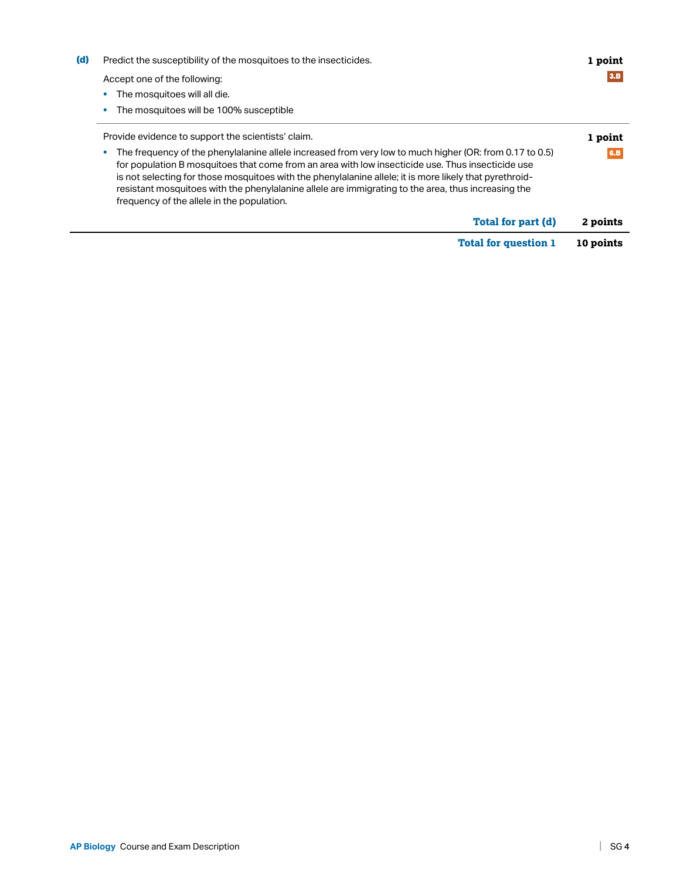|     | <b>Total for question 1</b>                                                                                                                                                                                                                                                                                                                                                                                                                                                  | 10 points |
|-----|------------------------------------------------------------------------------------------------------------------------------------------------------------------------------------------------------------------------------------------------------------------------------------------------------------------------------------------------------------------------------------------------------------------------------------------------------------------------------|-----------|
|     | Total for part (d)                                                                                                                                                                                                                                                                                                                                                                                                                                                           | 2 points  |
|     | The frequency of the phenylalanine allele increased from very low to much higher (OR: from 0.17 to 0.5)<br>for population B mosquitoes that come from an area with low insecticide use. Thus insecticide use<br>is not selecting for those mosquitoes with the phenylalanine allele; it is more likely that pyrethroid-<br>resistant mosquitoes with the phenylalanine allele are immigrating to the area, thus increasing the<br>frequency of the allele in the population. |           |
|     | Provide evidence to support the scientists' claim.                                                                                                                                                                                                                                                                                                                                                                                                                           | 1 point   |
|     | The mosquitoes will be 100% susceptible                                                                                                                                                                                                                                                                                                                                                                                                                                      |           |
|     | The mosquitoes will all die.                                                                                                                                                                                                                                                                                                                                                                                                                                                 |           |
|     | Accept one of the following:                                                                                                                                                                                                                                                                                                                                                                                                                                                 |           |
| (d) | Predict the susceptibility of the mosquitoes to the insecticides.                                                                                                                                                                                                                                                                                                                                                                                                            | 1 point   |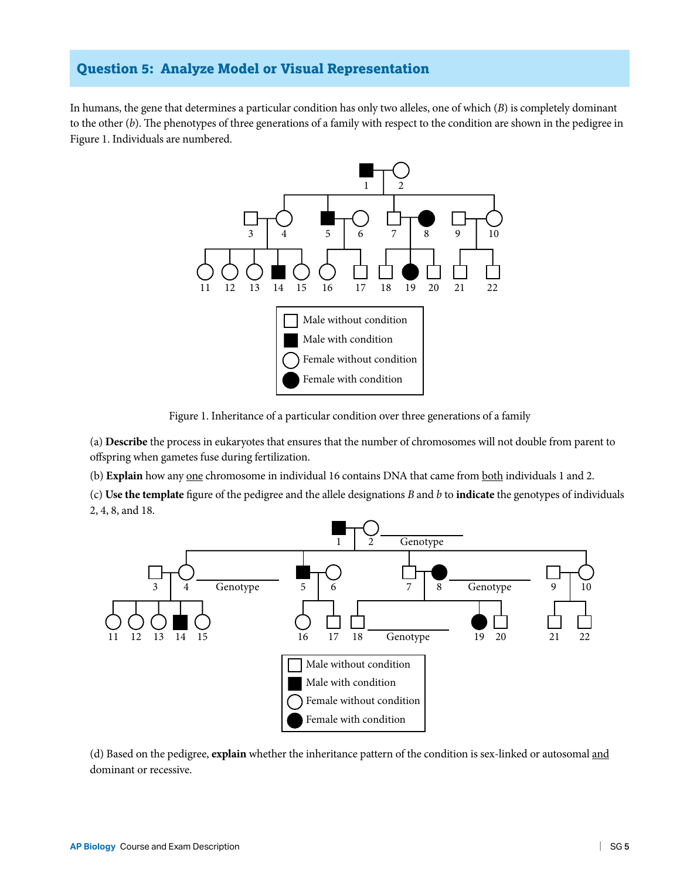#### **Question 5: Analyze Model or Visual Representation**

In humans, the gene that determines a particular condition has only two alleles, one of which (*B*) is completely dominant to the other (*b*). The phenotypes of three generations of a family with respect to the condition are shown in the pedigree in Figure 1. Individuals are numbered.



Figure 1. Inheritance of a particular condition over three generations of a family

(a) **Describe** the process in eukaryotes that ensures that the number of chromosomes will not double from parent to offspring when gametes fuse during fertilization.

(b) **Explain** how any one chromosome in individual 16 contains DNA that came from both individuals 1 and 2.

(c) **Use the template** figure of the pedigree and the allele designations *B* and *b* to **indicate** the genotypes of individuals 2, 4, 8, and 18.



(d) Based on the pedigree, **explain** whether the inheritance pattern of the condition is sex-linked or autosomal and dominant or recessive.